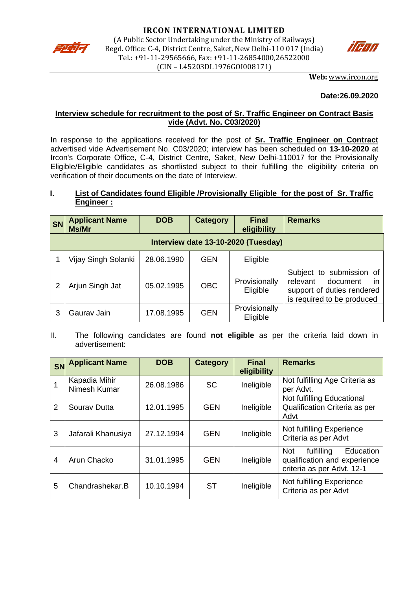



**Web:** [www.ircon.org](http://www.ircon.org/)

### **Date:26.09.2020**

# **Interview schedule for recruitment to the post of Sr. Traffic Engineer on Contract Basis vide (Advt. No. C03/2020)**

In response to the applications received for the post of **Sr. Traffic Engineer on Contract** advertised vide Advertisement No. C03/2020; interview has been scheduled on **13-10-2020** at Ircon's Corporate Office, C-4, District Centre, Saket, New Delhi-110017 for the Provisionally Eligible/Eligible candidates as shortlisted subject to their fulfilling the eligibility criteria on verification of their documents on the date of Interview.

# **I. List of Candidates found Eligible /Provisionally Eligible for the post of Sr. Traffic Engineer :**

| <b>SN</b> | <b>Applicant Name</b><br>Ms/Mr      | <b>DOB</b> | <b>Category</b> | <b>Final</b><br>eligibility | <b>Remarks</b>                                                                                                     |  |  |  |
|-----------|-------------------------------------|------------|-----------------|-----------------------------|--------------------------------------------------------------------------------------------------------------------|--|--|--|
|           | Interview date 13-10-2020 (Tuesday) |            |                 |                             |                                                                                                                    |  |  |  |
|           | Vijay Singh Solanki                 | 28.06.1990 | <b>GEN</b>      | Eligible                    |                                                                                                                    |  |  |  |
|           | Arjun Singh Jat                     | 05.02.1995 | <b>OBC</b>      | Provisionally<br>Eligible   | Subject to submission of<br>relevant<br>document<br>ın<br>support of duties rendered<br>is required to be produced |  |  |  |
| 3         | Gauray Jain                         | 17.08.1995 | GEN             | Provisionally<br>Eligible   |                                                                                                                    |  |  |  |

II. The following candidates are found **not eligible** as per the criteria laid down in advertisement:

| SN             | <b>Applicant Name</b>         | <b>DOB</b> | Category   | <b>Final</b><br>eligibility | <b>Remarks</b>                                                                                      |
|----------------|-------------------------------|------------|------------|-----------------------------|-----------------------------------------------------------------------------------------------------|
|                | Kapadia Mihir<br>Nimesh Kumar | 26.08.1986 | <b>SC</b>  | Ineligible                  | Not fulfilling Age Criteria as<br>per Advt.                                                         |
| $\overline{2}$ | Sourav Dutta                  | 12.01.1995 | <b>GEN</b> | Ineligible                  | Not fulfilling Educational<br>Qualification Criteria as per<br>Advt                                 |
| 3              | Jafarali Khanusiya            | 27.12.1994 | <b>GEN</b> | Ineligible                  | Not fulfilling Experience<br>Criteria as per Advt                                                   |
| $\overline{4}$ | Arun Chacko                   | 31.01.1995 | <b>GEN</b> | Ineligible                  | Education<br><b>Not</b><br>fulfilling<br>qualification and experience<br>criteria as per Advt. 12-1 |
| 5              | Chandrashekar.B               | 10.10.1994 | <b>ST</b>  | Ineligible                  | Not fulfilling Experience<br>Criteria as per Advt                                                   |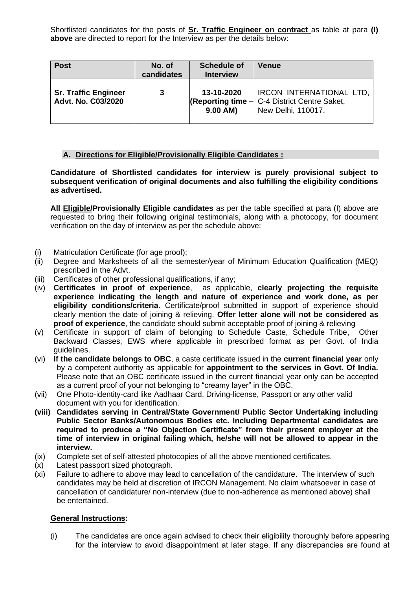Shortlisted candidates for the posts of **Sr. Traffic Engineer on contract** as table at para **(I) above** are directed to report for the Interview as per the details below:

| <b>Post</b>                                       | No. of<br>candidates | Schedule of<br><b>Interview</b> | <b>Venue</b>                                                                                                              |
|---------------------------------------------------|----------------------|---------------------------------|---------------------------------------------------------------------------------------------------------------------------|
| <b>Sr. Traffic Engineer</b><br>Advt. No. C03/2020 | 3                    | 13-10-2020<br>9.00 AM)          | <b>IRCON INTERNATIONAL LTD,</b><br><b>(Reporting time <math>-</math> C-4 District Centre Saket,</b><br>New Delhi, 110017. |

# **A. Directions for Eligible/Provisionally Eligible Candidates :**

**Candidature of Shortlisted candidates for interview is purely provisional subject to subsequent verification of original documents and also fulfilling the eligibility conditions as advertised.** 

**All Eligible/Provisionally Eligible candidates** as per the table specified at para (I) above are requested to bring their following original testimonials, along with a photocopy, for document verification on the day of interview as per the schedule above:

- (i) Matriculation Certificate (for age proof);
- (ii) Degree and Marksheets of all the semester/year of Minimum Education Qualification (MEQ) prescribed in the Advt.
- (iii) Certificates of other professional qualifications, if any;
- (iv) **Certificates in proof of experience**, as applicable, **clearly projecting the requisite experience indicating the length and nature of experience and work done, as per eligibility conditions/criteria**. Certificate/proof submitted in support of experience should clearly mention the date of joining & relieving. **Offer letter alone will not be considered as proof of experience**, the candidate should submit acceptable proof of joining & relieving
- (v) Certificate in support of claim of belonging to Schedule Caste, Schedule Tribe, Other Backward Classes, EWS where applicable in prescribed format as per Govt. of India guidelines.
- (vi) **If the candidate belongs to OBC**, a caste certificate issued in the **current financial year** only by a competent authority as applicable for **appointment to the services in Govt. Of India.** Please note that an OBC certificate issued in the current financial year only can be accepted as a current proof of your not belonging to "creamy layer" in the OBC.
- (vii) One Photo-identity-card like Aadhaar Card, Driving-license, Passport or any other valid document with you for identification.
- **(viii) Candidates serving in Central/State Government/ Public Sector Undertaking including Public Sector Banks/Autonomous Bodies etc. Including Departmental candidates are required to produce a "No Objection Certificate" from their present employer at the time of interview in original failing which, he/she will not be allowed to appear in the interview.**
- (ix) Complete set of self-attested photocopies of all the above mentioned certificates.
- (x) Latest passport sized photograph.
- (xi) Failure to adhere to above may lead to cancellation of the candidature. The interview of such candidates may be held at discretion of IRCON Management. No claim whatsoever in case of cancellation of candidature/ non-interview (due to non-adherence as mentioned above) shall be entertained.

# **General Instructions:**

(i) The candidates are once again advised to check their eligibility thoroughly before appearing for the interview to avoid disappointment at later stage. If any discrepancies are found at